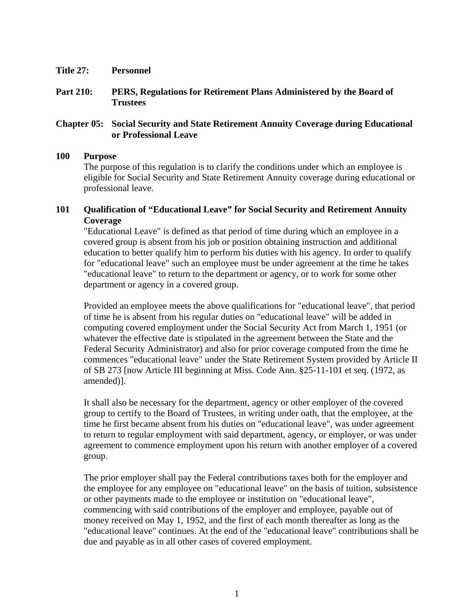- **Title 27: Personnel**
- **Part 210: PERS, Regulations for Retirement Plans Administered by the Board of Trustees**

## **Chapter 05: Social Security and State Retirement Annuity Coverage during Educational or Professional Leave**

## **100 Purpose**

The purpose of this regulation is to clarify the conditions under which an employee is eligible for Social Security and State Retirement Annuity coverage during educational or professional leave.

## **101 Qualification of "Educational Leave" for Social Security and Retirement Annuity Coverage**

"Educational Leave" is defined as that period of time during which an employee in a covered group is absent from his job or position obtaining instruction and additional education to better qualify him to perform his duties with his agency. In order to qualify for "educational leave" such an employee must be under agreement at the time he takes "educational leave" to return to the department or agency, or to work for some other department or agency in a covered group.

Provided an employee meets the above qualifications for "educational leave", that period of time he is absent from his regular duties on "educational leave" will be added in computing covered employment under the Social Security Act from March 1, 1951 (or whatever the effective date is stipulated in the agreement between the State and the Federal Security Administrator) and also for prior coverage computed from the time he commences "educational leave" under the State Retirement System provided by Article II of SB 273 [now Article III beginning at Miss. Code Ann. §25-11-101 et seq. (1972, as amended)].

It shall also be necessary for the department, agency or other employer of the covered group to certify to the Board of Trustees, in writing under oath, that the employee, at the time he first became absent from his duties on "educational leave", was under agreement to return to regular employment with said department, agency, or employer, or was under agreement to commence employment upon his return with another employer of a covered group.

The prior employer shall pay the Federal contributions taxes both for the employer and the employee for any employee on "educational leave" on the basis of tuition, subsistence or other payments made to the employee or institution on "educational leave", commencing with said contributions of the employer and employee, payable out of money received on May 1, 1952, and the first of each month thereafter as long as the "educational leave" continues. At the end of the "educational leave" contributions shall be due and payable as in all other cases of covered employment.